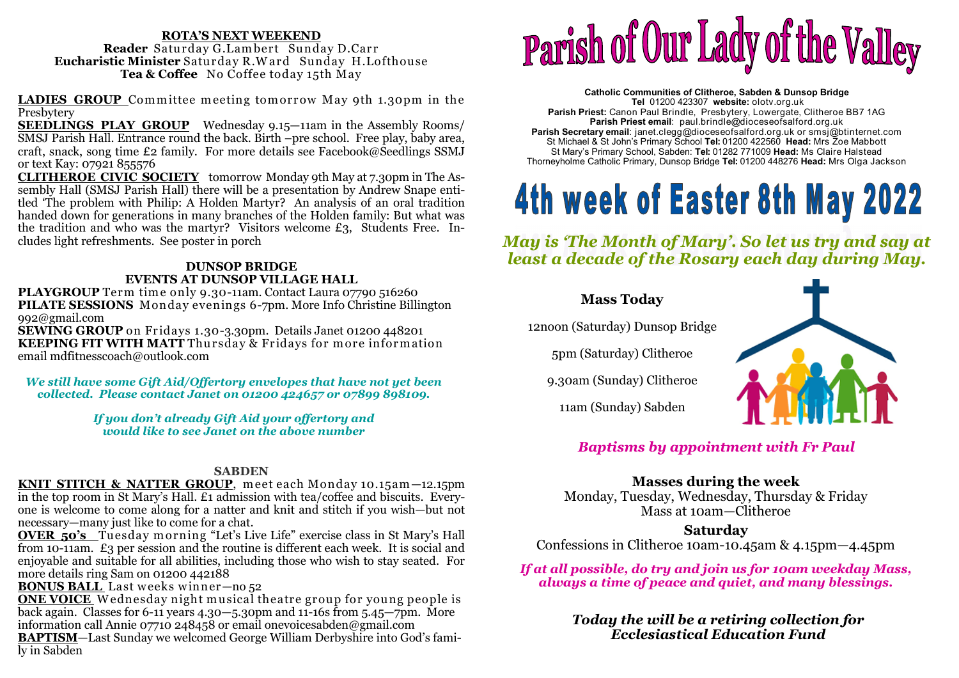#### **ROTA'S NEXT WEEKEND**Reader Saturday G.Lambert Sunday D.Carr **Reader** Saturday G.Lambert Sunday D.Carr<br>**stic Minister** Saturday R.Ward Sunday H.Lo **Eucharistic Minister** Saturday R.W ard Sunday H.Lofthouse **Tea & Coffee** No Coffee today 15th May

**LADIES GROUP** Committee meeting tomorrow May 9th 1.30pm in the Presbytery

 **SEEDLINGS PLAY GROUP** Wednesday 9.15—11am in the Assembly Rooms/ SMSJ Parish Hall. Entrance round the back. Birth –pre school. Free play, baby area, craft, snack, song time £2 family. For more details see Facebook@Seedlings SSMJ or text Kay: 07921 855576

 **CLITHEROE CIVIC SOCIETY** tomorrow Monday 9th May at 7.30pm in The Assembly Hall (SMSJ Parish Hall) there will be a presentation by Andrew Snape entitled 'The problem with Philip: A Holden Martyr? An analysis of an oral tradition handed down for generations in many branches of the Holden family: But what was the tradition and who was the martyr? Visitors welcome £3, Students Free. Includes light refreshments. See poster in porch

#### **DUNSOP BRIDGE EVENTS AT DUNSOP VILLAGE HALL**

PLAYGROUP Term time only 9.30-11am. Contact Laura 07790 516260 **PLAYGROUP** Term time only 9.30-11am. Contact Laura 07790 516260<br>**PILATE SESSIONS** Monday evenings 6-7pm. More Info Christine Billington 992@gmail.com

 **SEWING GROUP** on Fridays 1.30-3.30pm. Details Janet 01200 448201**KEEPING FIT WITH MATT** Thursday & Fridays for more information<br>email mdfitnesscoach@outlook.com email mdfitnesscoach@outlook.com

*We still have some Gift Aid/Offertory envelopes that have not yet been collected. Please contact Janet on 01200 424657 or 07899 898109.* 

> *If you don't already Gift Aid your offertory and would like to see Janet on the above number*

#### **SABDEN**

KNIT STITCH & NATTER GROUP, meet each Monday 10.15am -12.15pm **KNIT STITCH & NATTER GROUP**, meet each Monday 10.15am—12.15pm in the top room in St Mary's Hall. £1 admission with tea/coffee and biscuits. Everyone is welcome to come along for a natter and knit and stitch if you wish—but not necessary—many just like to come for a chat.

 **OVER 50's** Tuesday m orning "Let's Live Life" exercise class in St Mary's Hall from 10-11am. £3 per session and the routine is different each week. It is social and enjoyable and suitable for all abilities, including those who wish to stay seated. For more details ring Sam on 01200 442188

**BONUS BALL** Last weeks winner—no 52<br>**ONE VOICE** Wednesday night musical tl

**ONE VOICE** <sup>W</sup> ednesday night musical theatre group for young people is back again. Classes for 6-11 years 4.30—5.30pm and 11-16s from 5.45—7pm. More information call Annie 07710 248458 or email onevoicesabden@gmail.com

 **BAPTISM**—Last Sunday we welcomed George William Derbyshire into God's family in Sabden



**Catholic Communities of Clitheroe, Sabden & Dunsop Bridge Tel** 01200 423307 **website:** olotv.org.uk **Parish Priest:** Canon Paul Brindle, Presbytery, Lowergate, Clitheroe BB7 1AG**Parish Priest email**: paul.brindle@dioceseofsalford.org.uk **Parish Secretary email**: janet.clegg@dioceseofsalford.org.uk or smsj@btinternet.com St Michael & St John's Primary School **Tel:** 01200 422560 **Head:** Mrs Zoe Mabbott St Mary's Primary School, Sabden: **Tel:** 01282 771009 **Head:** Ms Claire HalsteadThorneyholme Catholic Primary, Dunsop Bridge **Tel:** 01200 448276 **Head:** Mrs Olga Jackson

# 4th week of Easter 8th May 2022

*May is 'The Month of Mary'. So let us try and say at least a decade of the Rosary each day during May.* 



*Baptisms by appointment with Fr Paul* 

### **Masses during the week**

 Monday, Tuesday, Wednesday, Thursday & Friday Mass at 10am—Clitheroe

### **Saturday**

Confessions in Clitheroe 10am-10.45am & 4.15pm—4.45pm

 *If at all possible, do try and join us for 10am weekday Mass, always a time of peace and quiet, and many blessings.* 

> *Today the will be a retiring collection for Ecclesiastical Education Fund*